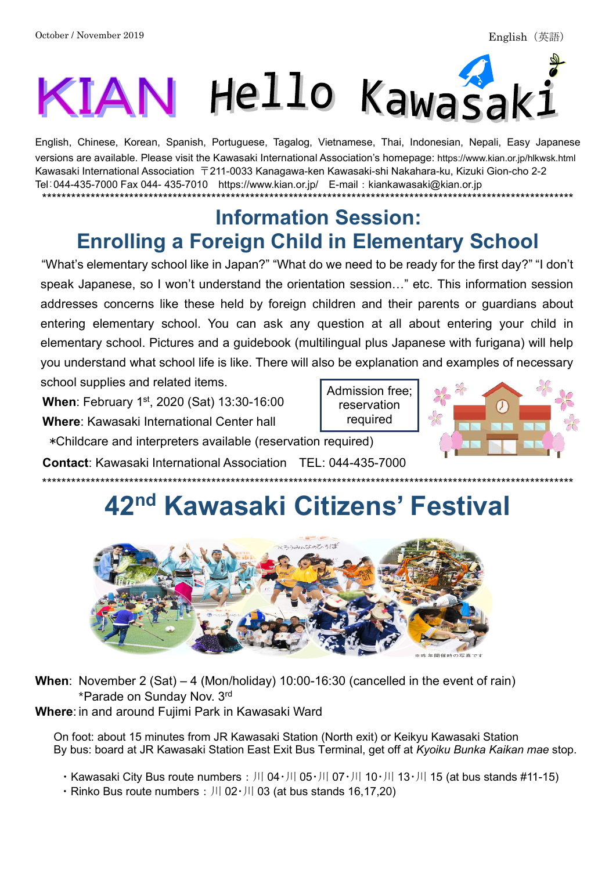# KIAN Hello Kawasaki

English, Chinese, Korean, Spanish, Portuguese, Tagalog, Vietnamese, Thai, Indonesian, Nepali, Easy Japanese versions are available. Please visit the Kawasaki International Association's homepage: https://www.kian.or.jp/hlkwsk.html Kawasaki International Association  $\overline{T}211$ -0033 Kanagawa-ken Kawasaki-shi Nakahara-ku, Kizuki Gion-cho 2-2 Tel: 044-435-7000 Fax 044- 435-7010 https://www.kian.or.jp/ E-mail: kiankawasaki@kian.or.jp 

### **Information Session: Enrolling a Foreign Child in Elementary School**

"What's elementary school like in Japan?" "What do we need to be ready for the first day?" "I don't speak Japanese, so I won't understand the orientation session..." etc. This information session addresses concerns like these held by foreign children and their parents or quardians about entering elementary school. You can ask any question at all about entering your child in elementary school. Pictures and a guidebook (multilingual plus Japanese with furigana) will help you understand what school life is like. There will also be explanation and examples of necessary

Admission free;

reservation required

school supplies and related items.

When: February 1st, 2020 (Sat) 13:30-16:00

Where: Kawasaki International Center hall

\*Childcare and interpreters available (reservation required)

**Contact: Kawasaki International Association TEL: 044-435-7000** 

# 42<sup>nd</sup> Kawasaki Citizens' Festival



**When:** November 2 (Sat)  $-4$  (Mon/holiday) 10:00-16:30 (cancelled in the event of rain) \*Parade on Sunday Nov. 3rd Where: in and around Fujimi Park in Kawasaki Ward

On foot: about 15 minutes from JR Kawasaki Station (North exit) or Keikyu Kawasaki Station By bus: board at JR Kawasaki Station East Exit Bus Terminal, get off at Kyoiku Bunka Kaikan mae stop.

• Kawasaki City Bus route numbers :  $|||04 \cdot |||05 \cdot |||07 \cdot |||10 \cdot |||13 \cdot |||15$  (at bus stands #11-15)

 $\cdot$  Rinko Bus route numbers :  $|||02 \cdot |||$  03 (at bus stands 16,17,20)